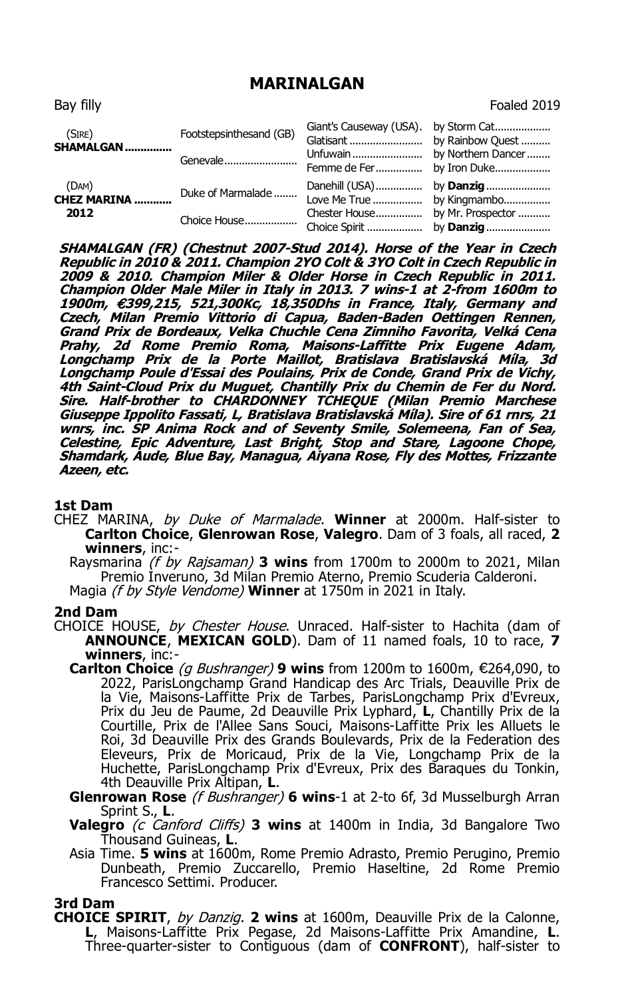## **MARINALGAN**

| Bay filly                            |                         |                                      | Foaled 2019                                                               |
|--------------------------------------|-------------------------|--------------------------------------|---------------------------------------------------------------------------|
| (SIRE)<br>SHAMALGAN                  | Footstepsinthesand (GB) | Giant's Causeway (USA).<br>Glatisant | by Storm Cat<br>by Rainbow Quest                                          |
|                                      | Genevale                | Unfuwain<br>Femme de Fer             | by Northern Dancer<br>by Iron Duke                                        |
| (DAM)<br><b>CHEZ MARINA </b><br>2012 | Duke of Marmalade       | Danehill (USA)<br>Love Me True       | by <b>Danzig</b><br>by Kingmambo<br>by Mr. Prospector<br>by <b>Danzig</b> |
|                                      | Choice House            | Chester House<br>Choice Spirit       |                                                                           |

**SHAMALGAN (FR) (Chestnut 2007-Stud 2014). Horse of the Year in Czech Republic in 2010 & 2011. Champion 2YO Colt & 3YO Colt in Czech Republic in 2009 & 2010. Champion Miler & Older Horse in Czech Republic in 2011. Champion Older Male Miler in Italy in 2013. 7 wins-1 at 2-from 1600m to 1900m,** €**399,215, 521,300Kc, 18,350Dhs in France, Italy, Germany and Czech, Milan Premio Vittorio di Capua, Baden-Baden Oettingen Rennen, Grand Prix de Bordeaux, Velka Chuchle Cena Zimniho Favorita, Velká Cena**  Prahy, 2d Rome Premio Roma, Maisons-Laffitte Prix Eugene Adam,<br>Longchamp Prix de la Porte Maillot, Bratislava Bratislavská Míla, 3d<br>Longchamp-Poule-d'Essai-des-Poulains, Prix-de-Conde,-Grand-Prix-de-Vichy, **4th Saint-Cloud Prix du Muguet, Chantilly Prix du Chemin de Fer du Nord. Sire. Half-brother to CHARDONNEY TCHEQUE (Milan Premio Marchese Giuseppe Ippolito Fassati, L, Bratislava Bratislavská Míla). Sire of 61 rnrs, 21 wnrs, inc. SP Anima Rock and of Seventy Smile, Solemeena, Fan of Sea, Celestine, Epic Adventure, Last Bright, Stop and Stare, Lagoone Chope, Shamdark, Aude, Blue Bay, Managua, Aiyana Rose, Fly des Mottes, Frizzante Azeen, etc.**

## **1st Dam**

CHEZ MARINA, by Duke of Marmalade. **Winner** at 2000m. Half-sister to **Carlton Choice**, **Glenrowan Rose**, **Valegro**. Dam of 3 foals, all raced, **2 winners**, inc:-

Raysmarina (f by Rajsaman) **3 wins** from 1700m to 2000m to 2021, Milan Premio Inveruno, 3d Milan Premio Aterno, Premio Scuderia Calderoni. Magia (f by Style Vendome) **Winner** at 1750m in 2021 in Italy.

## **2nd Dam**

- CHOICE HOUSE, by Chester House. Unraced. Half-sister to Hachita (dam of **ANNOUNCE**, **MEXICAN GOLD**). Dam of 11 named foals, 10 to race, **7 winners**, inc:-
	- **Carlton Choice** (g Bushranger) **9 wins** from 1200m to 1600m, €264,090, to 2022, ParisLongchamp Grand Handicap des Arc Trials, Deauville Prix de la Vie, Maisons-Laffitte Prix de Tarbes, ParisLongchamp Prix d'Evreux, Prix du Jeu de Paume, 2d Deauville Prix Lyphard, **L**, Chantilly Prix de la Courtille, Prix de l'Allee Sans Souci, Maisons-Laffitte Prix les Alluets le Roi, 3d Deauville Prix des Grands Boulevards, Prix de la Federation des Eleveurs, Prix de Moricaud, Prix de la Vie, Longchamp Prix de la Huchette, ParisLongchamp Prix d'Evreux, Prix des Baraques du Tonkin, 4th Deauville Prix Altipan, **L**.
	- **Glenrowan Rose** (f Bushranger) **6 wins**-1 at 2-to 6f, 3d Musselburgh Arran Sprint S., **L**.
	- **Valegro** (c Canford Cliffs) **3 wins** at 1400m in India, 3d Bangalore Two Thousand Guineas, **L**.
	- Asia Time. **5 wins** at 1600m, Rome Premio Adrasto, Premio Perugino, Premio Dunbeath, Premio Zuccarello, Premio Haseltine, 2d Rome Premio Francesco Settimi. Producer.

## **3rd Dam**

**CHOICE SPIRIT**, by Danzig. **2 wins** at 1600m, Deauville Prix de la Calonne, **L**, Maisons-Laffitte Prix Pegase, 2d Maisons-Laffitte Prix Amandine, **L**. Three-quarter-sister to Contiguous (dam of **CONFRONT**), half-sister to